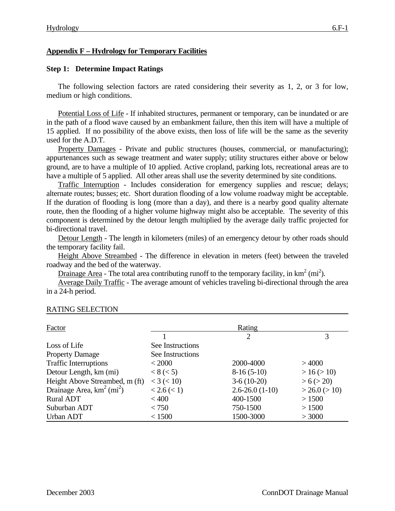## **Appendix F – Hydrology for Temporary Facilities**

### **Step 1: Determine Impact Ratings**

The following selection factors are rated considering their severity as 1, 2, or 3 for low, medium or high conditions.

Potential Loss of Life - If inhabited structures, permanent or temporary, can be inundated or are in the path of a flood wave caused by an embankment failure, then this item will have a multiple of 15 applied. If no possibility of the above exists, then loss of life will be the same as the severity used for the A.D.T.

Property Damages - Private and public structures (houses, commercial, or manufacturing); appurtenances such as sewage treatment and water supply; utility structures either above or below ground, are to have a multiple of 10 applied. Active cropland, parking lots, recreational areas are to have a multiple of 5 applied. All other areas shall use the severity determined by site conditions.

Traffic Interruption - Includes consideration for emergency supplies and rescue; delays; alternate routes; busses; etc. Short duration flooding of a low volume roadway might be acceptable. If the duration of flooding is long (more than a day), and there is a nearby good quality alternate route, then the flooding of a higher volume highway might also be acceptable. The severity of this component is determined by the detour length multiplied by the average daily traffic projected for bi-directional travel.

Detour Length - The length in kilometers (miles) of an emergency detour by other roads should the temporary facility fail.

Height Above Streambed - The difference in elevation in meters (feet) between the traveled roadway and the bed of the waterway.

Drainage Area - The total area contributing runoff to the temporary facility, in  $km^2$  (mi<sup>2</sup>).

Average Daily Traffic - The average amount of vehicles traveling bi-directional through the area in a 24-h period.

| Factor                                   | Rating           |                      |                    |  |
|------------------------------------------|------------------|----------------------|--------------------|--|
|                                          |                  | $\overline{2}$       | 3                  |  |
| Loss of Life                             | See Instructions |                      |                    |  |
| <b>Property Damage</b>                   | See Instructions |                      |                    |  |
| <b>Traffic Interruptions</b>             | < 2000           | 2000-4000            | >4000              |  |
| Detour Length, km (mi)                   | < 8 (< 5)        | $8-16(5-10)$         | > 16 (> 10)        |  |
| Height Above Streambed, m (ft)           | $<$ 3 ( $<$ 10)  | $3-6(10-20)$         | > 6 (> 20)         |  |
| Drainage Area, $km^2$ (mi <sup>2</sup> ) | < 2.6 (< 1)      | $2.6 - 26.0(1 - 10)$ | $>$ 26.0 ( $>$ 10) |  |
| <b>Rural ADT</b>                         | < 400            | 400-1500             | > 1500             |  |
| Suburban ADT                             | < 750            | 750-1500             | > 1500             |  |
| Urban ADT                                | < 1500           | 1500-3000            | > 3000             |  |

#### RATING SELECTION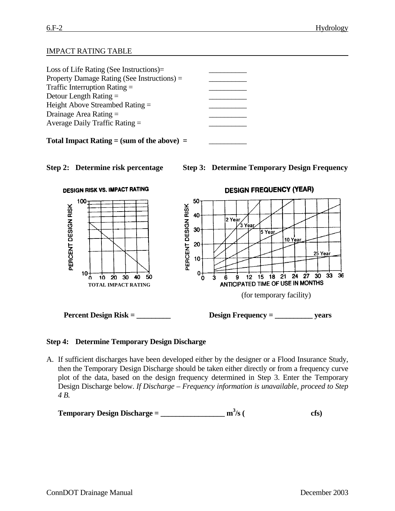# IMPACT RATING TABLE

| Loss of Life Rating (See Instructions) $=$     |  |  |  |  |
|------------------------------------------------|--|--|--|--|
| Property Damage Rating (See Instructions) =    |  |  |  |  |
| Traffic Interruption Rating $=$                |  |  |  |  |
| Detour Length Rating $=$                       |  |  |  |  |
| Height Above Streambed Rating $=$              |  |  |  |  |
| Drainage Area Rating $=$                       |  |  |  |  |
| Average Daily Traffic Rating $=$               |  |  |  |  |
|                                                |  |  |  |  |
| Total Impact Rating $=$ (sum of the above) $=$ |  |  |  |  |







#### **Step 4: Determine Temporary Design Discharge**

A. If sufficient discharges have been developed either by the designer or a Flood Insurance Study, then the Temporary Design Discharge should be taken either directly or from a frequency curve plot of the data, based on the design frequency determined in Step 3. Enter the Temporary Design Discharge below. *If Discharge – Frequency information is unavailable, proceed to Step 4 B.*

```
Temporary Design Discharge = _________________ m3
                                                               /s ( cfs)
```